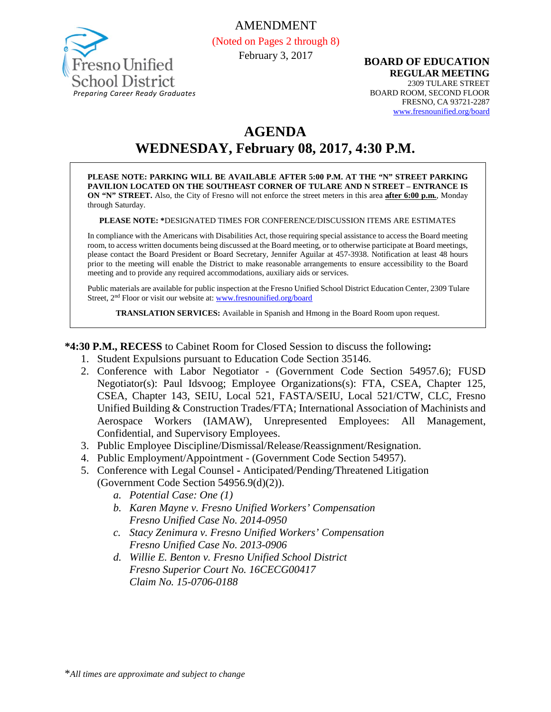

**BOARD OF EDUCATION REGULAR MEETING** 2309 TULARE STREET BOARD ROOM, SECOND FLOOR FRESNO, CA 93721-2287 [www.fresnounified.org/board](http://www.fresnounified.org/board)

# **AGENDA WEDNESDAY, February 08, 2017, 4:30 P.M.**

**PLEASE NOTE: PARKING WILL BE AVAILABLE AFTER 5:00 P.M. AT THE "N" STREET PARKING PAVILION LOCATED ON THE SOUTHEAST CORNER OF TULARE AND N STREET – ENTRANCE IS ON "N" STREET.** Also, the City of Fresno will not enforce the street meters in this area **after 6:00 p.m.**, Monday through Saturday.

#### **PLEASE NOTE: \***DESIGNATED TIMES FOR CONFERENCE/DISCUSSION ITEMS ARE ESTIMATES

In compliance with the Americans with Disabilities Act, those requiring special assistance to access the Board meeting room, to access written documents being discussed at the Board meeting, or to otherwise participate at Board meetings, please contact the Board President or Board Secretary, Jennifer Aguilar at 457-3938. Notification at least 48 hours prior to the meeting will enable the District to make reasonable arrangements to ensure accessibility to the Board meeting and to provide any required accommodations, auxiliary aids or services.

Public materials are available for public inspection at the Fresno Unified School District Education Center, 2309 Tulare Street, 2<sup>nd</sup> Floor or visit our website at: [www.fresnounified.org/board](http://www.fresnounified.org/board)

**TRANSLATION SERVICES:** Available in Spanish and Hmong in the Board Room upon request.

**\*4:30 P.M., RECESS** to Cabinet Room for Closed Session to discuss the following**:**

- 1. Student Expulsions pursuant to Education Code Section 35146.
- 2. Conference with Labor Negotiator (Government Code Section 54957.6); FUSD Negotiator(s): Paul Idsvoog; Employee Organizations(s): FTA, CSEA, Chapter 125, CSEA, Chapter 143, SEIU, Local 521, FASTA/SEIU, Local 521/CTW, CLC, Fresno Unified Building & Construction Trades/FTA; International Association of Machinists and Aerospace Workers (IAMAW), Unrepresented Employees: All Management, Confidential, and Supervisory Employees.
- 3. Public Employee Discipline/Dismissal/Release/Reassignment/Resignation.
- 4. Public Employment/Appointment (Government Code Section 54957).
- 5. Conference with Legal Counsel **-** Anticipated/Pending/Threatened Litigation (Government Code Section 54956.9(d)(2)).
	- *a. Potential Case: One (1)*
	- *b. Karen Mayne v. Fresno Unified Workers' Compensation Fresno Unified Case No. 2014-0950*
	- *c. Stacy Zenimura v. Fresno Unified Workers' Compensation Fresno Unified Case No. 2013-0906*
	- *d. Willie E. Benton v. Fresno Unified School District Fresno Superior Court No. 16CECG00417 Claim No. 15-0706-0188*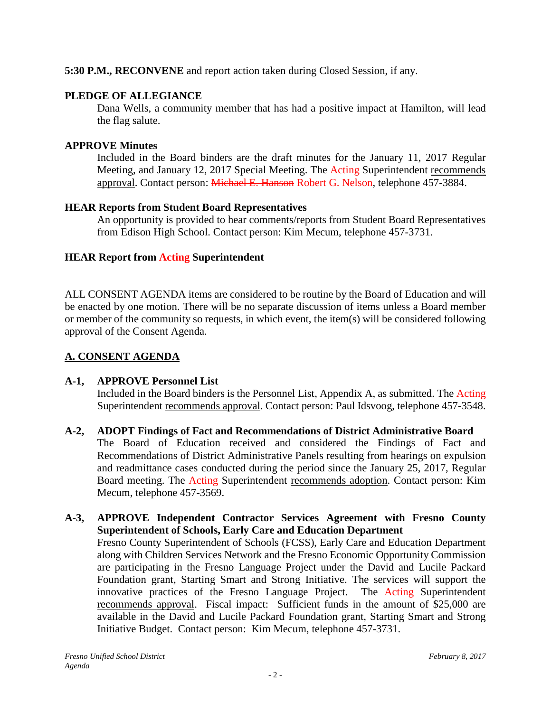### **5:30 P.M., RECONVENE** and report action taken during Closed Session, if any.

### **PLEDGE OF ALLEGIANCE**

Dana Wells, a community member that has had a positive impact at Hamilton, will lead the flag salute.

### **APPROVE Minutes**

Included in the Board binders are the draft minutes for the January 11, 2017 Regular Meeting, and January 12, 2017 Special Meeting. The Acting Superintendent recommends approval. Contact person: Michael E. Hanson Robert G. Nelson, telephone 457-3884.

### **HEAR Reports from Student Board Representatives**

An opportunity is provided to hear comments/reports from Student Board Representatives from Edison High School. Contact person: Kim Mecum, telephone 457-3731.

### **HEAR Report from Acting Superintendent**

ALL CONSENT AGENDA items are considered to be routine by the Board of Education and will be enacted by one motion. There will be no separate discussion of items unless a Board member or member of the community so requests, in which event, the item(s) will be considered following approval of the Consent Agenda.

## **A. CONSENT AGENDA**

### **A-1, APPROVE Personnel List**

Included in the Board binders is the Personnel List, Appendix A, as submitted. The Acting Superintendent recommends approval. Contact person: Paul Idsvoog, telephone 457-3548.

### **A-2, ADOPT Findings of Fact and Recommendations of District Administrative Board**

The Board of Education received and considered the Findings of Fact and Recommendations of District Administrative Panels resulting from hearings on expulsion and readmittance cases conducted during the period since the January 25, 2017, Regular Board meeting. The Acting Superintendent recommends adoption. Contact person: Kim Mecum, telephone 457-3569.

### **A-3, APPROVE Independent Contractor Services Agreement with Fresno County Superintendent of Schools, Early Care and Education Department**

Fresno County Superintendent of Schools (FCSS), Early Care and Education Department along with Children Services Network and the Fresno Economic Opportunity Commission are participating in the Fresno Language Project under the David and Lucile Packard Foundation grant, Starting Smart and Strong Initiative. The services will support the innovative practices of the Fresno Language Project. The Acting Superintendent recommends approval. Fiscal impact: Sufficient funds in the amount of \$25,000 are available in the David and Lucile Packard Foundation grant, Starting Smart and Strong Initiative Budget. Contact person: Kim Mecum, telephone 457-3731.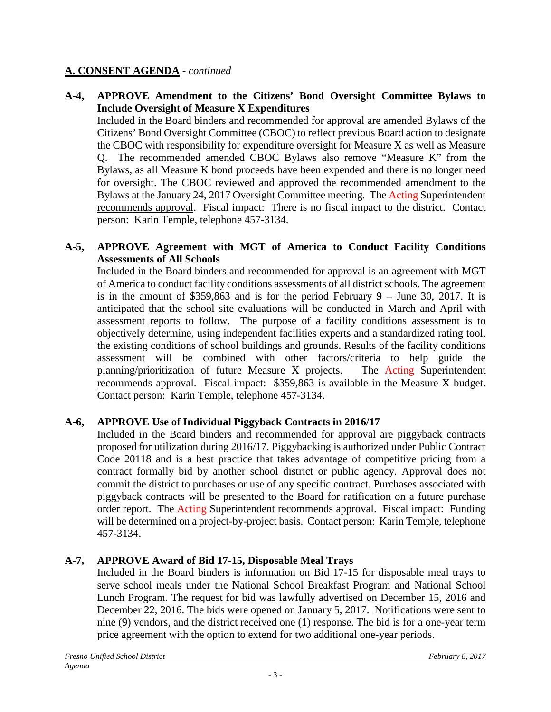### **A. CONSENT AGENDA** - *continued*

### **A-4, APPROVE Amendment to the Citizens' Bond Oversight Committee Bylaws to Include Oversight of Measure X Expenditures**

Included in the Board binders and recommended for approval are amended Bylaws of the Citizens' Bond Oversight Committee (CBOC) to reflect previous Board action to designate the CBOC with responsibility for expenditure oversight for Measure X as well as Measure Q. The recommended amended CBOC Bylaws also remove "Measure K" from the Bylaws, as all Measure K bond proceeds have been expended and there is no longer need for oversight. The CBOC reviewed and approved the recommended amendment to the Bylaws at the January 24, 2017 Oversight Committee meeting. The Acting Superintendent recommends approval. Fiscal impact: There is no fiscal impact to the district. Contact person: Karin Temple, telephone 457-3134.

### **A-5, APPROVE Agreement with MGT of America to Conduct Facility Conditions Assessments of All Schools**

Included in the Board binders and recommended for approval is an agreement with MGT of America to conduct facility conditions assessments of all district schools. The agreement is in the amount of  $$359,863$  and is for the period February 9 – June 30, 2017. It is anticipated that the school site evaluations will be conducted in March and April with assessment reports to follow. The purpose of a facility conditions assessment is to objectively determine, using independent facilities experts and a standardized rating tool, the existing conditions of school buildings and grounds. Results of the facility conditions assessment will be combined with other factors/criteria to help guide the planning/prioritization of future Measure X projects. The Acting Superintendent recommends approval. Fiscal impact: \$359,863 is available in the Measure X budget. Contact person: Karin Temple, telephone 457-3134.

### **A-6, APPROVE Use of Individual Piggyback Contracts in 2016/17**

Included in the Board binders and recommended for approval are piggyback contracts proposed for utilization during 2016/17. Piggybacking is authorized under Public Contract Code 20118 and is a best practice that takes advantage of competitive pricing from a contract formally bid by another school district or public agency. Approval does not commit the district to purchases or use of any specific contract. Purchases associated with piggyback contracts will be presented to the Board for ratification on a future purchase order report. The Acting Superintendent recommends approval. Fiscal impact: Funding will be determined on a project-by-project basis. Contact person: Karin Temple, telephone 457-3134.

### **A-7, APPROVE Award of Bid 17-15, Disposable Meal Trays**

Included in the Board binders is information on Bid 17-15 for disposable meal trays to serve school meals under the National School Breakfast Program and National School Lunch Program. The request for bid was lawfully advertised on December 15, 2016 and December 22, 2016. The bids were opened on January 5, 2017. Notifications were sent to nine (9) vendors, and the district received one (1) response. The bid is for a one-year term price agreement with the option to extend for two additional one-year periods.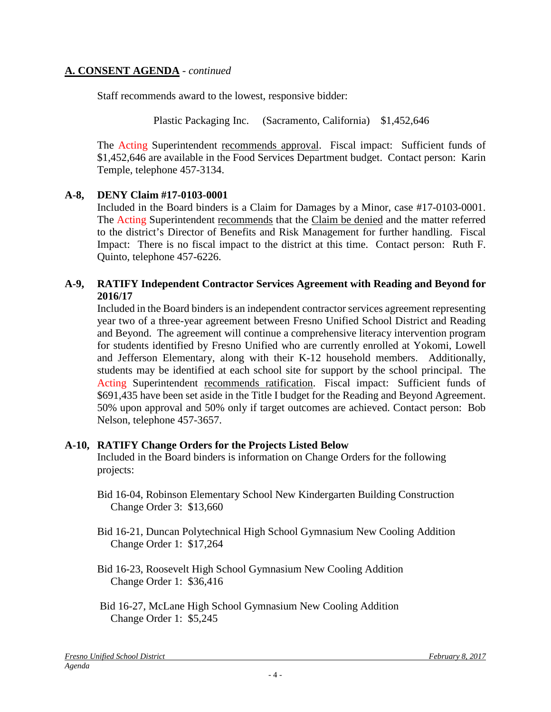### **A. CONSENT AGENDA** - *continued*

Staff recommends award to the lowest, responsive bidder:

Plastic Packaging Inc. (Sacramento, California) \$1,452,646

The Acting Superintendent recommends approval. Fiscal impact:Sufficient funds of \$1,452,646 are available in the Food Services Department budget. Contact person: Karin Temple, telephone 457-3134.

### **A-8, DENY Claim #17-0103-0001**

Included in the Board binders is a Claim for Damages by a Minor, case #17-0103-0001. The Acting Superintendent recommends that the Claim be denied and the matter referred to the district's Director of Benefits and Risk Management for further handling. Fiscal Impact: There is no fiscal impact to the district at this time. Contact person: Ruth F. Quinto, telephone 457-6226.

### **A-9, RATIFY Independent Contractor Services Agreement with Reading and Beyond for 2016/17**

Included in the Board binders is an independent contractor services agreement representing year two of a three-year agreement between Fresno Unified School District and Reading and Beyond. The agreement will continue a comprehensive literacy intervention program for students identified by Fresno Unified who are currently enrolled at Yokomi, Lowell and Jefferson Elementary, along with their K-12 household members. Additionally, students may be identified at each school site for support by the school principal. The Acting Superintendent recommends ratification. Fiscal impact: Sufficient funds of \$691,435 have been set aside in the Title I budget for the Reading and Beyond Agreement. 50% upon approval and 50% only if target outcomes are achieved. Contact person: Bob Nelson, telephone 457-3657.

#### **A-10, RATIFY Change Orders for the Projects Listed Below**

Included in the Board binders is information on Change Orders for the following projects:

- Bid 16-04, Robinson Elementary School New Kindergarten Building Construction Change Order 3: \$13,660
- Bid 16-21, Duncan Polytechnical High School Gymnasium New Cooling Addition Change Order 1: \$17,264
- Bid 16-23, Roosevelt High School Gymnasium New Cooling Addition Change Order 1: \$36,416
- Bid 16-27, McLane High School Gymnasium New Cooling Addition Change Order 1: \$5,245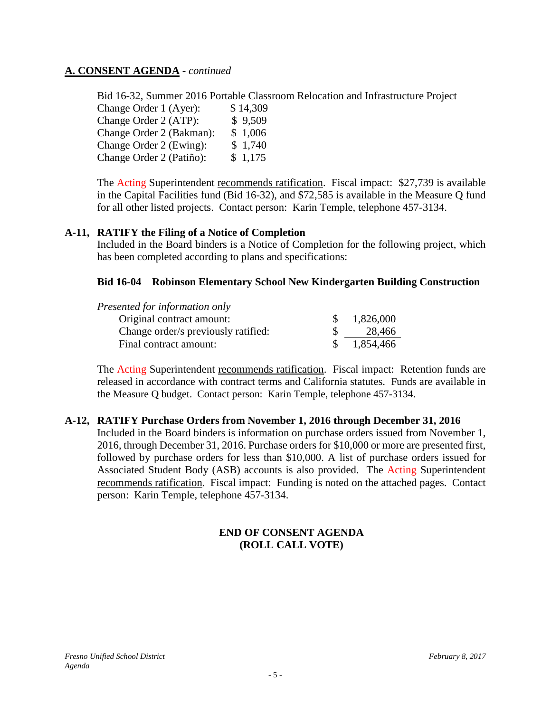### **A. CONSENT AGENDA** - *continued*

Bid 16-32, Summer 2016 Portable Classroom Relocation and Infrastructure Project Change Order 1 (Ayer): \$ 14,309 Change Order 2 (ATP): \$ 9,509 Change Order 2 (Bakman): \$ 1,006 Change Order 2 (Ewing): \$ 1,740 Change Order 2 (Patiño): \$ 1,175

The Acting Superintendent recommends ratification. Fiscal impact:\$27,739 is available in the Capital Facilities fund (Bid 16-32), and \$72,585 is available in the Measure Q fund for all other listed projects. Contact person: Karin Temple, telephone 457-3134.

#### **A-11, RATIFY the Filing of a Notice of Completion**

Included in the Board binders is a Notice of Completion for the following project, which has been completed according to plans and specifications:

### **Bid 16-04 Robinson Elementary School New Kindergarten Building Construction**

| Presented for information only      |           |
|-------------------------------------|-----------|
| Original contract amount:           | 1,826,000 |
| Change order/s previously ratified: | 28,466    |
| Final contract amount:              | 1,854,466 |

The Acting Superintendent recommends ratification. Fiscal impact:Retention funds are released in accordance with contract terms and California statutes. Funds are available in the Measure Q budget. Contact person: Karin Temple, telephone 457-3134.

#### **A-12, RATIFY Purchase Orders from November 1, 2016 through December 31, 2016**

Included in the Board binders is information on purchase orders issued from November 1, 2016, through December 31, 2016. Purchase orders for \$10,000 or more are presented first, followed by purchase orders for less than \$10,000. A list of purchase orders issued for Associated Student Body (ASB) accounts is also provided. The Acting Superintendent recommends ratification. Fiscal impact: Funding is noted on the attached pages. Contact person: Karin Temple, telephone 457-3134.

#### **END OF CONSENT AGENDA (ROLL CALL VOTE)**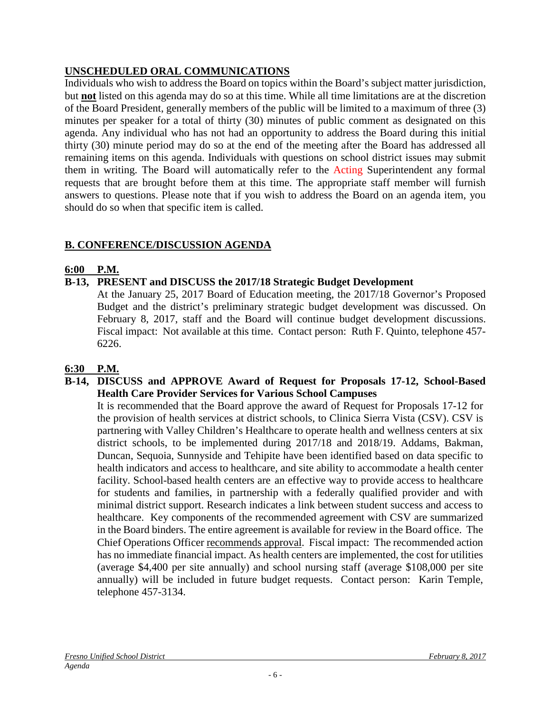### **UNSCHEDULED ORAL COMMUNICATIONS**

Individuals who wish to address the Board on topics within the Board's subject matter jurisdiction, but **not** listed on this agenda may do so at this time. While all time limitations are at the discretion of the Board President, generally members of the public will be limited to a maximum of three (3) minutes per speaker for a total of thirty (30) minutes of public comment as designated on this agenda. Any individual who has not had an opportunity to address the Board during this initial thirty (30) minute period may do so at the end of the meeting after the Board has addressed all remaining items on this agenda. Individuals with questions on school district issues may submit them in writing. The Board will automatically refer to the Acting Superintendent any formal requests that are brought before them at this time. The appropriate staff member will furnish answers to questions. Please note that if you wish to address the Board on an agenda item, you should do so when that specific item is called.

### **B. CONFERENCE/DISCUSSION AGENDA**

### **6:00 P.M.**

### **B-13, PRESENT and DISCUSS the 2017/18 Strategic Budget Development**

At the January 25, 2017 Board of Education meeting, the 2017/18 Governor's Proposed Budget and the district's preliminary strategic budget development was discussed. On February 8, 2017, staff and the Board will continue budget development discussions. Fiscal impact: Not available at this time. Contact person: Ruth F. Quinto, telephone 457- 6226.

#### **6:30 P.M.**

#### **B-14, DISCUSS and APPROVE Award of Request for Proposals 17-12, School-Based Health Care Provider Services for Various School Campuses**

It is recommended that the Board approve the award of Request for Proposals 17-12 for the provision of health services at district schools, to Clinica Sierra Vista (CSV). CSV is partnering with Valley Children's Healthcare to operate health and wellness centers at six district schools, to be implemented during 2017/18 and 2018/19. Addams, Bakman, Duncan, Sequoia, Sunnyside and Tehipite have been identified based on data specific to health indicators and access to healthcare, and site ability to accommodate a health center facility. School-based health centers are an effective way to provide access to healthcare for students and families, in partnership with a federally qualified provider and with minimal district support. Research indicates a link between student success and access to healthcare. Key components of the recommended agreement with CSV are summarized in the Board binders. The entire agreement is available for review in the Board office. The Chief Operations Officer recommends approval. Fiscal impact: The recommended action has no immediate financial impact. As health centers are implemented, the cost for utilities (average \$4,400 per site annually) and school nursing staff (average \$108,000 per site annually) will be included in future budget requests. Contact person: Karin Temple, telephone 457-3134.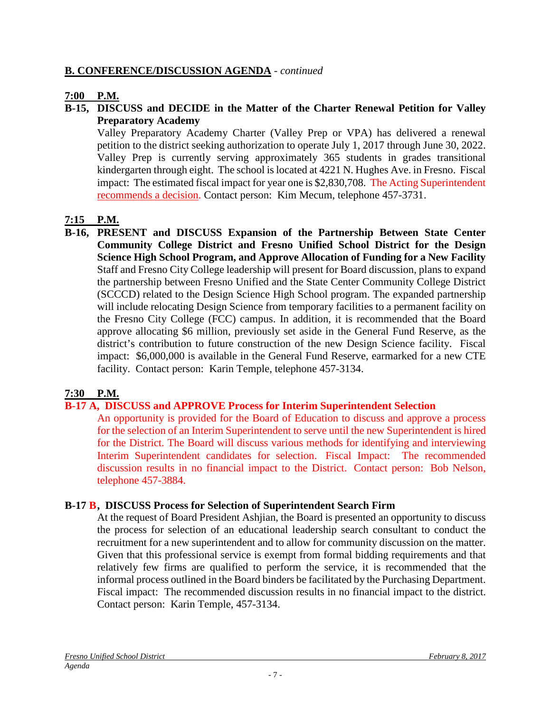### **B. CONFERENCE/DISCUSSION AGENDA** - *continued*

### **7:00 P.M.**

### **B-15, DISCUSS and DECIDE in the Matter of the Charter Renewal Petition for Valley Preparatory Academy**

Valley Preparatory Academy Charter (Valley Prep or VPA) has delivered a renewal petition to the district seeking authorization to operate July 1, 2017 through June 30, 2022. Valley Prep is currently serving approximately 365 students in grades transitional kindergarten through eight. The school is located at 4221 N. Hughes Ave. in Fresno. Fiscal impact: The estimated fiscal impact for year one is \$2,830,708. The Acting Superintendent recommends a decision. Contact person: Kim Mecum, telephone 457-3731.

### **7:15 P.M.**

**B-16, PRESENT and DISCUSS Expansion of the Partnership Between State Center Community College District and Fresno Unified School District for the Design Science High School Program, and Approve Allocation of Funding for a New Facility** Staff and Fresno City College leadership will present for Board discussion, plans to expand the partnership between Fresno Unified and the State Center Community College District (SCCCD) related to the Design Science High School program. The expanded partnership will include relocating Design Science from temporary facilities to a permanent facility on the Fresno City College (FCC) campus. In addition, it is recommended that the Board approve allocating \$6 million, previously set aside in the General Fund Reserve, as the district's contribution to future construction of the new Design Science facility. Fiscal impact: \$6,000,000 is available in the General Fund Reserve, earmarked for a new CTE facility. Contact person: Karin Temple, telephone 457-3134.

#### **7:30 P.M.**

#### **B-17 A, DISCUSS and APPROVE Process for Interim Superintendent Selection**

An opportunity is provided for the Board of Education to discuss and approve a process for the selection of an Interim Superintendent to serve until the new Superintendent is hired for the District. The Board will discuss various methods for identifying and interviewing Interim Superintendent candidates for selection. Fiscal Impact: The recommended discussion results in no financial impact to the District. Contact person: Bob Nelson, telephone 457-3884.

#### **B-17 B, DISCUSS Process for Selection of Superintendent Search Firm**

At the request of Board President Ashjian, the Board is presented an opportunity to discuss the process for selection of an educational leadership search consultant to conduct the recruitment for a new superintendent and to allow for community discussion on the matter. Given that this professional service is exempt from formal bidding requirements and that relatively few firms are qualified to perform the service, it is recommended that the informal process outlined in the Board binders be facilitated by the Purchasing Department. Fiscal impact: The recommended discussion results in no financial impact to the district. Contact person: Karin Temple, 457-3134.